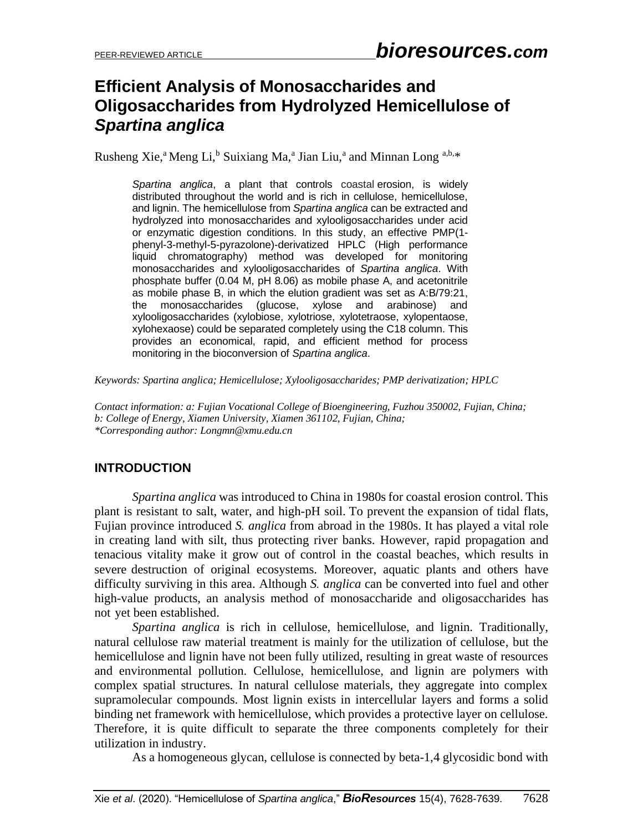# **Efficient Analysis of Monosaccharides and Oligosaccharides from Hydrolyzed Hemicellulose of**  *Spartina anglica*

Rusheng Xie,<sup>a</sup> Meng Li,<sup>b</sup> Suixiang Ma,<sup>a</sup> Jian Liu,<sup>a</sup> and Minnan Long <sup>a,b,\*</sup>

*Spartina anglica*, a plant that controls coastal erosion, is widely distributed throughout the world and is rich in cellulose, hemicellulose, and lignin. The hemicellulose from *Spartina anglica* can be extracted and hydrolyzed into monosaccharides and xylooligosaccharides under acid or enzymatic digestion conditions. In this study, an effective PMP(1 phenyl-3-methyl-5-pyrazolone)-derivatized HPLC (High performance liquid chromatography) method was developed for monitoring monosaccharides and xylooligosaccharides of *Spartina anglica*. With phosphate buffer (0.04 M, pH 8.06) as mobile phase A, and acetonitrile as mobile phase B, in which the elution gradient was set as A:B/79:21, the monosaccharides (glucose, xylose and arabinose) and xylooligosaccharides (xylobiose, xylotriose, xylotetraose, xylopentaose, xylohexaose) could be separated completely using the C18 column. This provides an economical, rapid, and efficient method for process monitoring in the bioconversion of *Spartina anglica*.

*Keywords: Spartina anglica; Hemicellulose; Xylooligosaccharides; PMP derivatization; HPLC*

*Contact information: a: Fujian Vocational College of Bioengineering, Fuzhou 350002, Fujian, China; b: College of Energy, Xiamen University, Xiamen 361102, Fujian, China; \*Corresponding author: Longmn@xmu.edu.cn*

## **INTRODUCTION**

*Spartina anglica* was introduced to China in 1980s for coastal [erosion](https://en.wikipedia.org/wiki/Erosion) control. This plant is resistant to salt, water, and high-pH soil. To prevent the expansion of tidal flats, Fujian province introduced *S. anglica* from abroad in the 1980s. It has played a vital role in creating land with silt, thus protecting river banks. However, rapid propagation and tenacious vitality make it grow out of control in the coastal beaches, which results in severe destruction of original ecosystems. Moreover, aquatic plants and others have difficulty surviving in this area. Although *S. anglica* can be converted into fuel and other high-value products, an analysis method of monosaccharide and oligosaccharides has not yet been established.

*Spartina anglica* is rich in cellulose, hemicellulose, and lignin. Traditionally, natural cellulose raw material treatment is mainly for the utilization of cellulose, but the hemicellulose and lignin have not been fully utilized, resulting in great waste of resources and environmental pollution. Cellulose, hemicellulose, and lignin are polymers with complex spatial structures. In natural cellulose materials, they aggregate into complex supramolecular compounds. Most lignin exists in intercellular layers and forms a solid binding net framework with hemicellulose, which provides a protective layer on cellulose. Therefore, it is quite difficult to separate the three components completely for their utilization in industry.

As a homogeneous glycan, cellulose is connected by beta-1,4 glycosidic bond with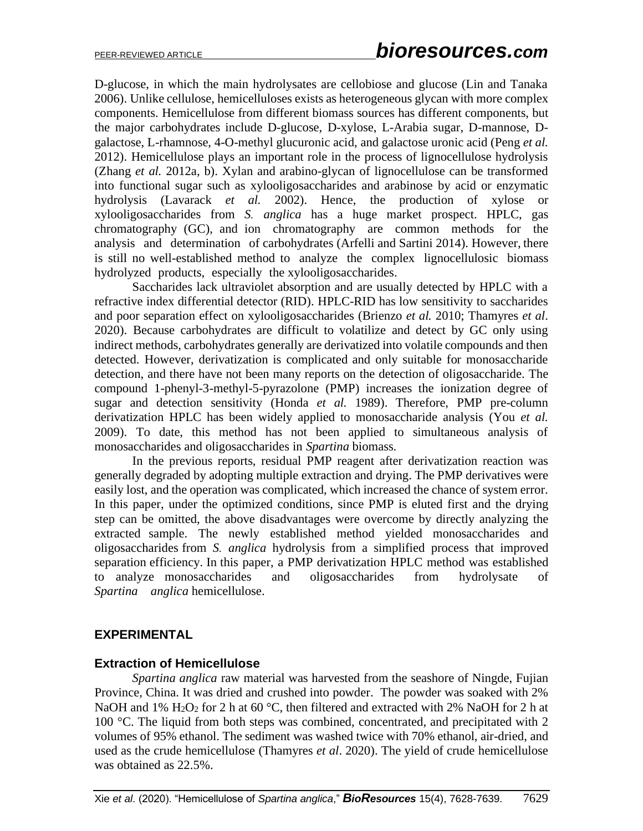D-glucose, in which the main hydrolysates are cellobiose and glucose (Lin and Tanaka 2006). Unlike cellulose, hemicelluloses exists as heterogeneous glycan with more complex components. Hemicellulose from different biomass sources has different components, but the major carbohydrates include D-glucose, D-xylose, L-Arabia sugar, D-mannose, Dgalactose, L-rhamnose, 4-O-methyl glucuronic acid, and galactose uronic acid (Peng *et al.* 2012). Hemicellulose plays an important role in the process of lignocellulose hydrolysis (Zhang *et al.* 2012a, b). Xylan and arabino-glycan of lignocellulose can be transformed into functional sugar such as xylooligosaccharides and arabinose by acid or enzymatic hydrolysis (Lavarack *et al.* 2002). Hence, the production of xylose or xylooligosaccharides from *S. anglica* has a huge market prospect. HPLC, gas chromatography (GC), and ion chromatography are common methods for the analysis and determination of carbohydrates (Arfelli and Sartini 2014). However, there is still no well-established method to analyze the complex lignocellulosic biomass hydrolyzed products, especially the xylooligosaccharides.

Saccharides lack ultraviolet absorption and are usually detected by HPLC with a refractive index differential detector (RID). HPLC-RID has low sensitivity to saccharides and poor separation effect on xylooligosaccharides (Brienzo *et al.* 2010; Thamyres *et al*. 2020). Because carbohydrates are difficult to volatilize and detect by GC only using indirect methods, carbohydrates generally are derivatized into volatile compounds and then detected. However, derivatization is complicated and only suitable for monosaccharide detection, and there have not been many reports on the detection of oligosaccharide. The compound 1-phenyl-3-methyl-5-pyrazolone (PMP) increases the ionization degree of sugar and detection sensitivity (Honda *et al.* 1989). Therefore, PMP pre-column derivatization HPLC has been widely applied to monosaccharide analysis (You *et al.* 2009). To date, this method has not been applied to simultaneous analysis of monosaccharides and oligosaccharides in *Spartina* biomass.

In the previous reports, residual PMP reagent after derivatization reaction was generally degraded by adopting multiple extraction and drying. The PMP derivatives were easily lost, and the operation was complicated, which increased the chance of system error. In this paper, under the optimized conditions, since PMP is eluted first and the drying step can be omitted, the above disadvantages were overcome by directly analyzing the extracted sample. The newly established method yielded monosaccharides and oligosaccharides from *S. anglica* hydrolysis from a simplified process that improved separation efficiency. In this paper, a PMP derivatization HPLC method was established to analyze monosaccharides and oligosaccharides from hydrolysate of *Spartina anglica* hemicellulose.

#### **EXPERIMENTAL**

#### **Extraction of Hemicellulose**

*Spartina anglica* raw material was harvested from the seashore of Ningde, Fujian Province, China. It was dried and crushed into powder. The powder was soaked with 2% NaOH and 1%  $H_2O_2$  for 2 h at 60 °C, then filtered and extracted with 2% NaOH for 2 h at 100 °C. The liquid from both steps was combined, concentrated, and precipitated with 2 volumes of 95% ethanol. The sediment was washed twice with 70% ethanol, air-dried, and used as the crude hemicellulose [\(Thamyres](http://scholar.cnki.net/result.aspx?q=%e4%bd%9c%e8%80%85:(Thamyres+Del+Torto+Mafei)) *et al*. 2020). The yield of crude hemicellulose was obtained as 22.5%.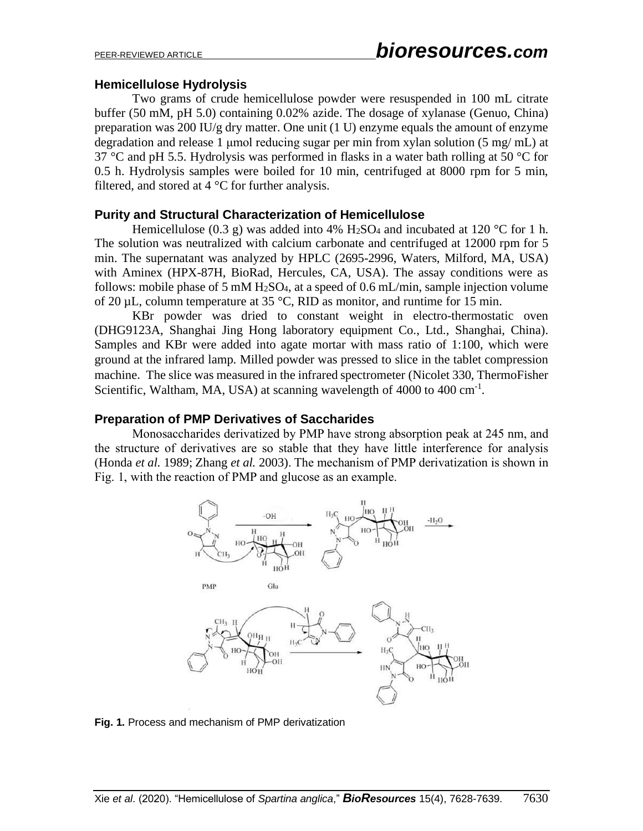#### **Hemicellulose Hydrolysis**

Two grams of crude hemicellulose powder were resuspended in 100 mL citrate buffer (50 mM, pH 5.0) containing 0.02% azide. The dosage of xylanase (Genuo, China) preparation was 200 IU/g dry matter. One unit (1 U) enzyme equals the amount of enzyme degradation and release 1 µmol reducing sugar per min from xylan solution (5 mg/ mL) at 37 °C and pH 5.5. Hydrolysis was performed in flasks in a water bath rolling at 50 °C for 0.5 h. Hydrolysis samples were boiled for 10 min, centrifuged at 8000 rpm for 5 min, filtered, and stored at  $4^{\circ}$ C for further analysis.

#### **Purity and Structural Characterization of Hemicellulose**

Hemicellulose (0.3 g) was added into 4% H<sub>2</sub>SO<sub>4</sub> and incubated at 120 °C for 1 h. The solution was neutralized with calcium carbonate and centrifuged at 12000 rpm for 5 min. The supernatant was analyzed by HPLC (2695-2996, Waters, Milford, MA, USA) with Aminex (HPX-87H, BioRad, Hercules, CA, USA). The assay conditions were as follows: mobile phase of 5 mM  $H_2SO_4$ , at a speed of 0.6 mL/min, sample injection volume of 20  $\mu$ L, column temperature at 35 °C, RID as monitor, and runtime for 15 min.

KBr powder was dried to constant weight in electro-thermostatic oven (DHG9123A, Shanghai Jing Hong laboratory equipment Co., Ltd., Shanghai, China). Samples and KBr were added into agate mortar with mass ratio of 1:100, which were ground at the infrared lamp. Milled powder was pressed to slice in the tablet compression machine. The slice was measured in the infrared spectrometer (Nicolet 330, ThermoFisher Scientific, Waltham, MA, USA) at scanning wavelength of 4000 to 400 cm<sup>-1</sup>.

#### **Preparation of PMP Derivatives of Saccharides**

Monosaccharides derivatized by PMP have strong absorption peak at 245 nm, and the structure of derivatives are so stable that they have little interference for analysis (Honda *et al.* 1989; Zhang *et al.* 2003). The mechanism of PMP derivatization is shown in Fig. 1, with the reaction of PMP and glucose as an example.



**Fig. 1.** Process and mechanism of PMP derivatization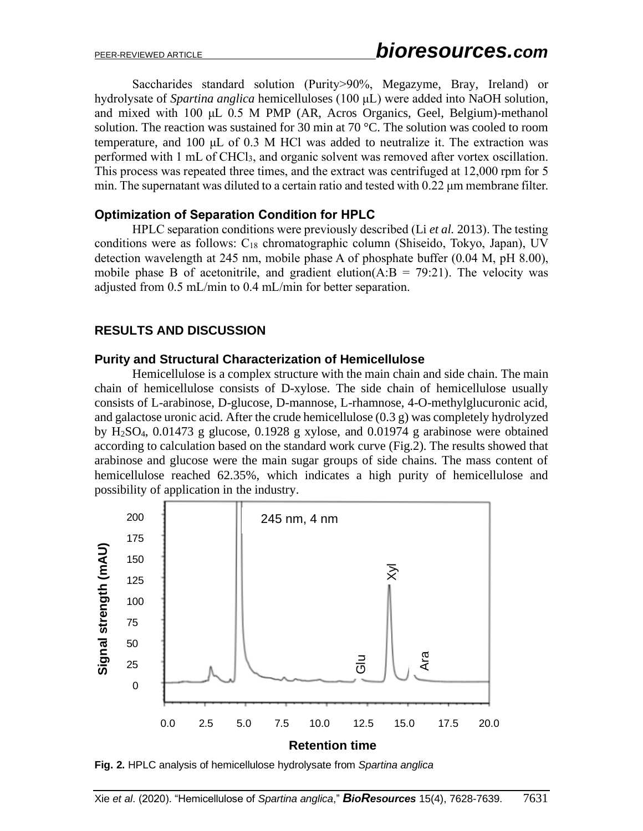Saccharides standard solution (Purity>90%, Megazyme, Bray, Ireland) or hydrolysate of *Spartina anglica* hemicelluloses (100 μL) were added into NaOH solution, and mixed with 100 μL 0.5 M PMP (AR, Acros Organics, Geel, Belgium)-methanol solution. The reaction was sustained for 30 min at 70  $^{\circ}$ C. The solution was cooled to room temperature, and 100 μL of 0.3 M HCl was added to neutralize it. The extraction was performed with 1 mL of CHCl3, and organic solvent was removed after vortex oscillation. This process was repeated three times, and the extract was centrifuged at 12,000 rpm for 5 min. The supernatant was diluted to a certain ratio and tested with 0.22 μm membrane filter.

#### **Optimization of Separation Condition for HPLC**

HPLC separation conditions were previously described (Li *et al.* 2013). The testing conditions were as follows:  $C_{18}$  chromatographic column (Shiseido, Tokyo, Japan), UV detection wavelength at 245 nm, mobile phase A of phosphate buffer (0.04 M, pH 8.00), mobile phase B of acetonitrile, and gradient elution( $A:B = 79:21$ ). The velocity was adjusted from 0.5 mL/min to 0.4 mL/min for better separation.

## **RESULTS AND DISCUSSION**

#### **Purity and Structural Characterization of Hemicellulose**

Hemicellulose is a complex structure with the main chain and side chain. The main chain of hemicellulose consists of D-xylose. The side chain of hemicellulose usually consists of L-arabinose, D-glucose, D-mannose, L-rhamnose, 4-O-methylglucuronic acid, and galactose uronic acid. After the crude hemicellulose (0.3 g) was completely hydrolyzed by H2SO4, 0.01473 g glucose, 0.1928 g xylose, and 0.01974 g arabinose were obtained according to calculation based on the standard work curve (Fig.2). The results showed that arabinose and glucose were the main sugar groups of side chains. The mass content of hemicellulose reached 62.35%, which indicates a high purity of hemicellulose and possibility of application in the industry.

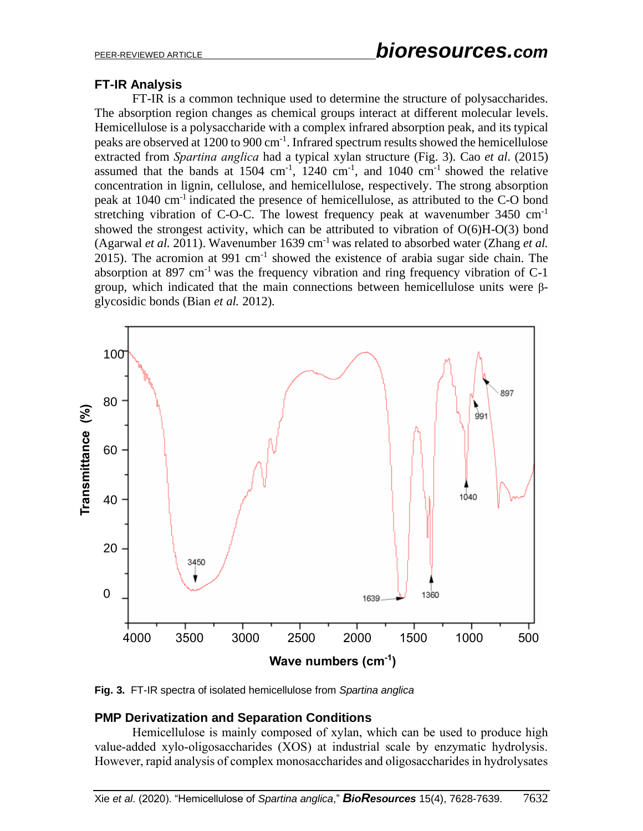## **FT-IR Analysis**

FT-IR is a common technique used to determine the structure of polysaccharides. The absorption region changes as chemical groups interact at different molecular levels. Hemicellulose is a polysaccharide with a complex infrared absorption peak, and its typical peaks are observed at 1200 to 900 cm<sup>-1</sup>. Infrared spectrum results showed the hemicellulose extracted from *Spartina anglica* had a typical xylan structure (Fig. 3). Cao *et al*. (2015) assumed that the bands at  $1504 \text{ cm}^{-1}$ ,  $1240 \text{ cm}^{-1}$ , and  $1040 \text{ cm}^{-1}$  showed the relative concentration in lignin, cellulose, and hemicellulose, respectively. The strong absorption peak at 1040 cm-1 indicated the presence of hemicellulose, as attributed to the C-O bond stretching vibration of C-O-C. The lowest frequency peak at wavenumber  $3450 \text{ cm}^{-1}$ showed the strongest activity, which can be attributed to vibration of O(6)H-O(3) bond (Agarwal *et al.* 2011). Wavenumber 1639 cm-1 was related to absorbed water (Zhang *et al.* 2015). The acromion at 991  $cm^{-1}$  showed the existence of arabia sugar side chain. The absorption at 897 cm<sup>-1</sup> was the frequency vibration and ring frequency vibration of  $C-1$ group, which indicated that the main connections between hemicellulose units were βglycosidic bonds (Bian *et al.* 2012).



**Fig. 3.** FT-IR spectra of isolated hemicellulose from *Spartina anglica*

## **PMP Derivatization and Separation Conditions**

Hemicellulose is mainly composed of xylan, which can be used to produce high value-added xylo-oligosaccharides (XOS) at industrial scale by enzymatic hydrolysis. However, rapid analysis of complex monosaccharides and oligosaccharides in hydrolysates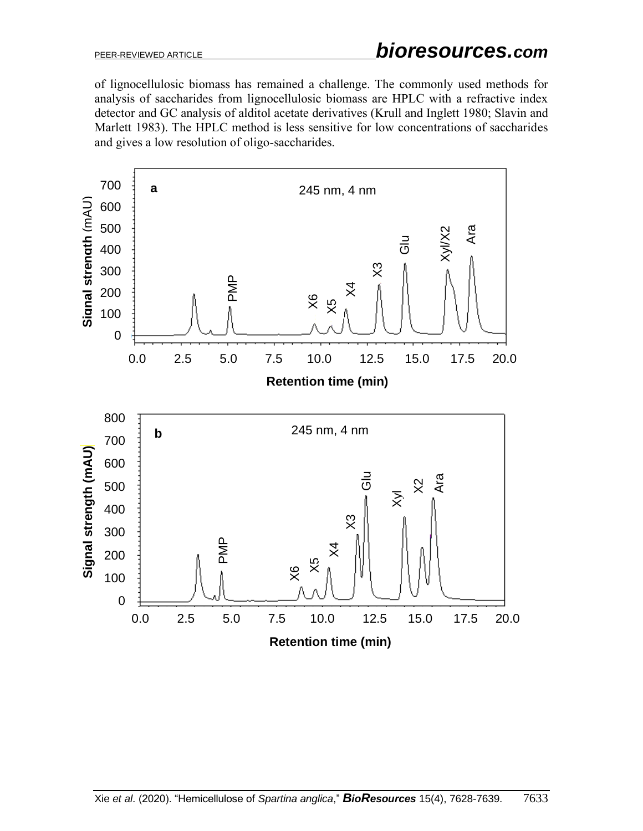of lignocellulosic biomass has remained a challenge. The commonly used methods for analysis of saccharides from lignocellulosic biomass are HPLC with a refractive index detector and GC analysis of alditol acetate derivatives (Krull and Inglett 1980; Slavin and Marlett 1983). The HPLC method is less sensitive for low concentrations of saccharides and gives a low resolution of oligo-saccharides.

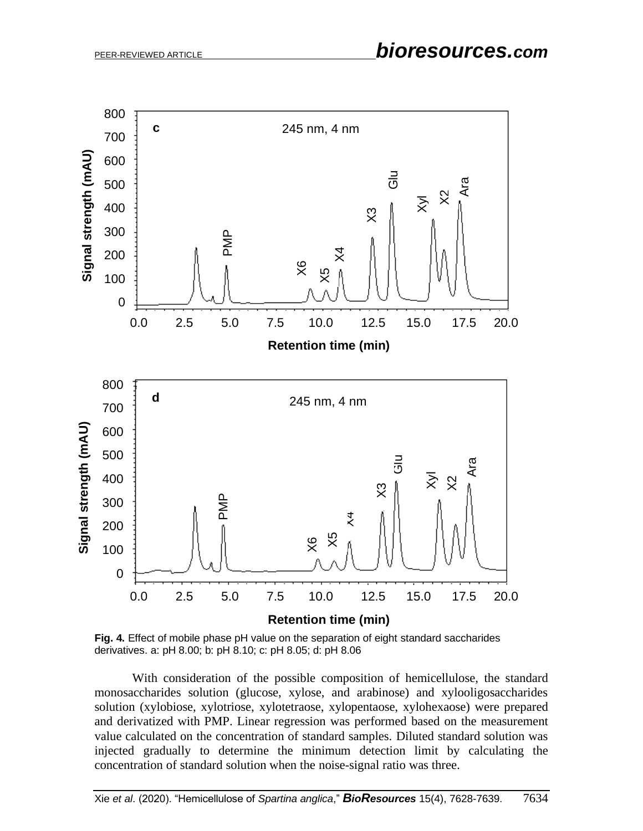

**Fig. 4.** Effect of mobile phase pH value on the separation of eight standard saccharides derivatives. a: pH 8.00; b: pH 8.10; c: pH 8.05; d: pH 8.06

With consideration of the possible composition of hemicellulose, the standard monosaccharides solution (glucose, xylose, and arabinose) and xylooligosaccharides solution (xylobiose, xylotriose, xylotetraose, xylopentaose, xylohexaose) were prepared and derivatized with PMP. Linear regression was performed based on the measurement value calculated on the concentration of standard samples. Diluted standard solution was injected gradually to determine the minimum detection limit by calculating the concentration of standard solution when the noise-signal ratio was three.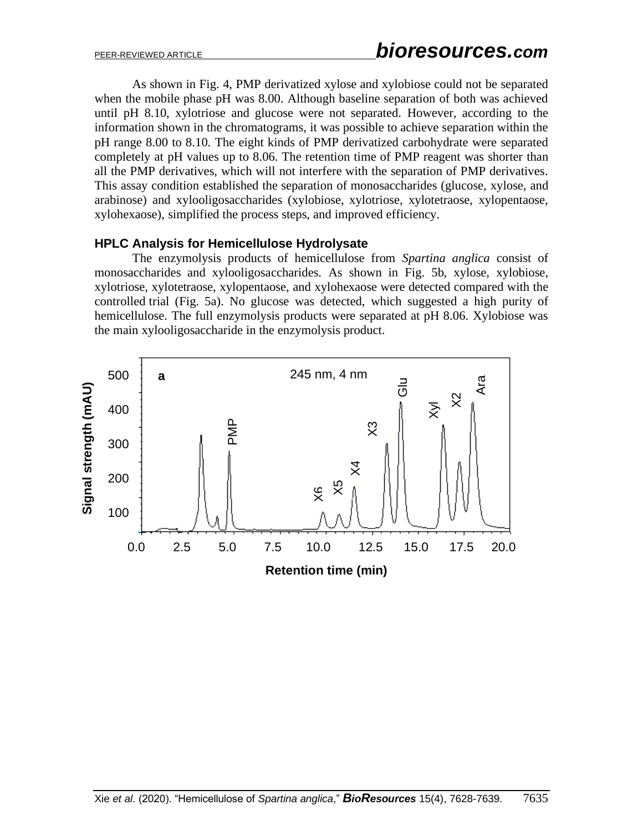As shown in Fig. 4, PMP derivatized xylose and xylobiose could not be separated when the mobile phase pH was 8.00. Although baseline separation of both was achieved until pH 8.10, xylotriose and glucose were not separated. However, according to the information shown in the chromatograms, it was possible to achieve separation within the pH range 8.00 to 8.10. The eight kinds of PMP derivatized carbohydrate were separated completely at pH values up to 8.06. The retention time of PMP reagent was shorter than all the PMP derivatives, which will not interfere with the separation of PMP derivatives. This assay condition established the separation of monosaccharides (glucose, xylose, and arabinose) and xylooligosaccharides (xylobiose, xylotriose, xylotetraose, xylopentaose, xylohexaose), simplified the process steps, and improved efficiency.

#### **HPLC Analysis for Hemicellulose Hydrolysate**

The enzymolysis products of hemicellulose from *Spartina anglica* consist of monosaccharides and xylooligosaccharides. As shown in Fig. 5b, xylose, xylobiose, xylotriose, xylotetraose, xylopentaose, and xylohexaose were detected compared with the controlled trial (Fig. 5a). No glucose was detected, which suggested a high purity of hemicellulose. The full enzymolysis products were separated at pH 8.06. Xylobiose was the main xylooligosaccharide in the enzymolysis product.

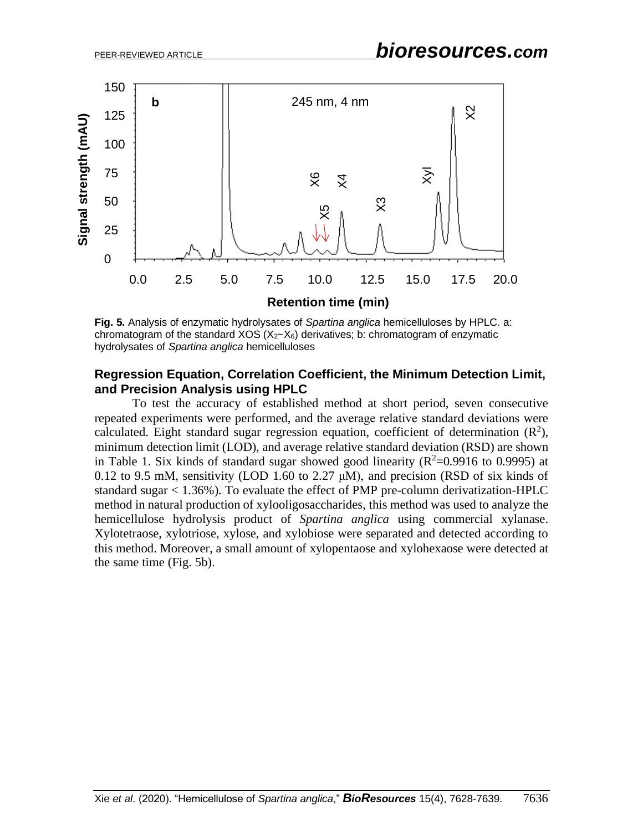

**Fig. 5.** Analysis of enzymatic hydrolysates of *Spartina anglica* hemicelluloses by HPLC. a: chromatogram of the standard XOS  $(X_2-X_6)$  derivatives; b: chromatogram of enzymatic hydrolysates of *Spartina anglica* hemicelluloses

#### **Regression Equation, Correlation Coefficient, the Minimum Detection Limit, and Precision Analysis using HPLC**

To test the accuracy of established method at short period, seven consecutive repeated experiments were performed, and the average relative standard deviations were calculated. Eight standard sugar regression equation, coefficient of determination  $(R^2)$ , minimum detection limit (LOD), and average relative standard deviation (RSD) are shown in Table 1. Six kinds of standard sugar showed good linearity ( $R^2$ =0.9916 to 0.9995) at 0.12 to 9.5 mM, sensitivity (LOD 1.60 to 2.27  $\mu$ M), and precision (RSD of six kinds of standard sugar < 1.36%). To evaluate the effect of PMP pre-column derivatization-HPLC method in natural production of xylooligosaccharides, this method was used to analyze the hemicellulose hydrolysis product of *Spartina anglica* using commercial xylanase. Xylotetraose, xylotriose, xylose, and xylobiose were separated and detected according to this method. Moreover, a small amount of xylopentaose and xylohexaose were detected at the same time (Fig. 5b).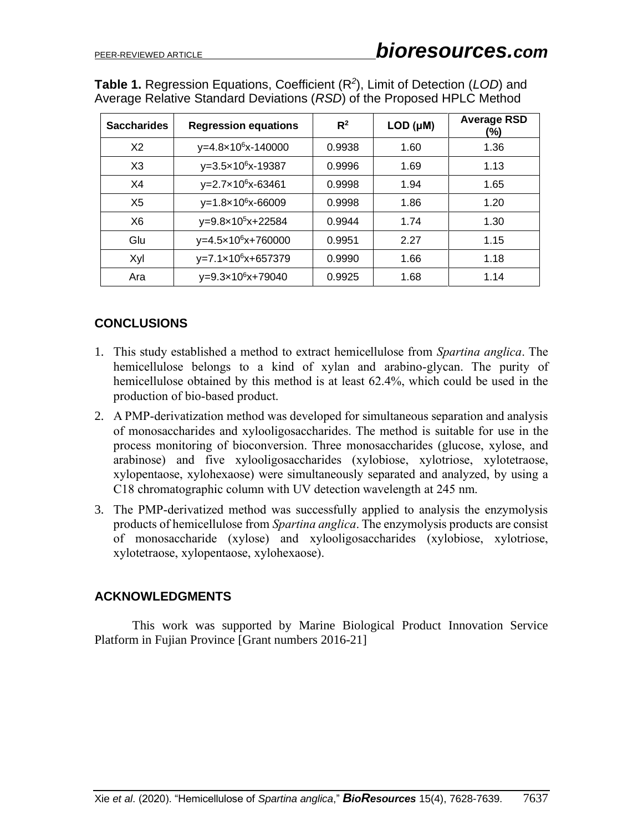| <b>Table 1.</b> Regression Equations, Coefficient $(R^2)$ , Limit of Detection (LOD) and |  |
|------------------------------------------------------------------------------------------|--|
| Average Relative Standard Deviations (RSD) of the Proposed HPLC Method                   |  |

| <b>Saccharides</b> | <b>Regression equations</b>    | $R^2$  | LOD (µM) | <b>Average RSD</b><br>(%) |
|--------------------|--------------------------------|--------|----------|---------------------------|
| X <sub>2</sub>     | y=4.8×10 <sup>6</sup> x-140000 | 0.9938 | 1.60     | 1.36                      |
| X3                 | $y=3.5\times10^{6}x-19387$     | 0.9996 | 1.69     | 1.13                      |
| X4                 | y=2.7x10 <sup>6</sup> x-63461  | 0.9998 | 1.94     | 1.65                      |
| X <sub>5</sub>     | $y=1.8 \times 10^6 x - 66009$  | 0.9998 | 1.86     | 1.20                      |
| X <sub>6</sub>     | y=9.8×10 <sup>5</sup> x+22584  | 0.9944 | 1.74     | 1.30                      |
| Glu                | $y=4.5\times10^{6}x+760000$    | 0.9951 | 2.27     | 1.15                      |
| Xyl                | y=7.1×10 <sup>6</sup> x+657379 | 0.9990 | 1.66     | 1.18                      |
| Ara                | y=9.3×10 <sup>6</sup> x+79040  | 0.9925 | 1.68     | 1.14                      |

### **CONCLUSIONS**

- 1. This study established a method to extract hemicellulose from *Spartina anglica*. The hemicellulose belongs to a kind of xylan and arabino-glycan. The purity of hemicellulose obtained by this method is at least 62.4%, which could be used in the production of bio-based product.
- 2. A PMP-derivatization method was developed for simultaneous separation and analysis of monosaccharides and xylooligosaccharides. The method is suitable for use in the process monitoring of bioconversion. Three monosaccharides (glucose, xylose, and arabinose) and five xylooligosaccharides (xylobiose, xylotriose, xylotetraose, xylopentaose, xylohexaose) were simultaneously separated and analyzed, by using a C18 chromatographic column with UV detection wavelength at 245 nm.
- 3. The PMP-derivatized method was successfully applied to analysis the enzymolysis products of hemicellulose from *Spartina anglica*. The enzymolysis products are consist of monosaccharide (xylose) and xylooligosaccharides (xylobiose, xylotriose, xylotetraose, xylopentaose, xylohexaose).

#### **ACKNOWLEDGMENTS**

This work was supported by Marine Biological Product Innovation Service Platform in Fujian Province [Grant numbers 2016-21]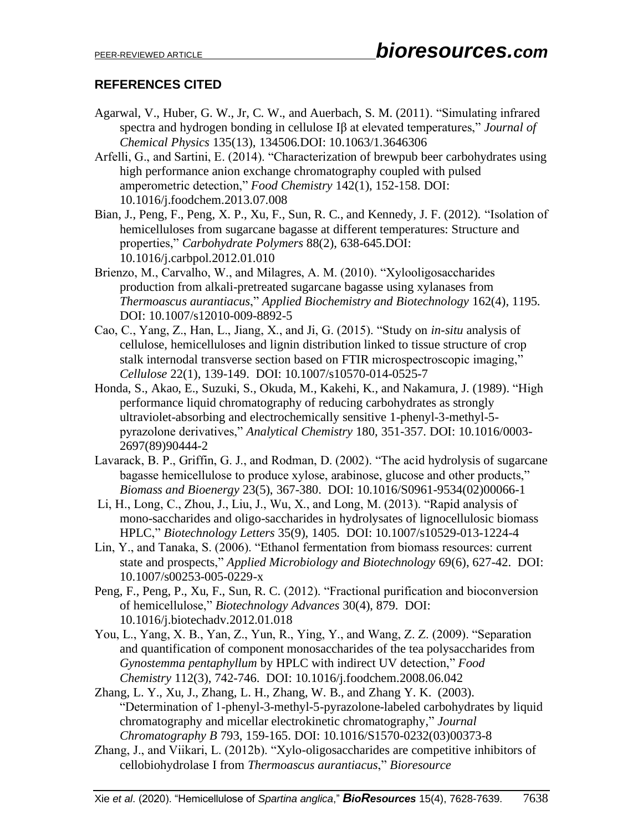## **REFERENCES CITED**

- Agarwal, V., Huber, G. W., Jr, C. W., and Auerbach, S. M. (2011). "Simulating infrared spectra and hydrogen bonding in cellulose Iβ at elevated temperatures," *Journal of Chemical Physics* 135(13), 134506.DOI: 10.1063/1.3646306
- Arfelli, G., and Sartini, E. (2014). "Characterization of brewpub beer carbohydrates using high performance anion exchange chromatography coupled with pulsed amperometric detection," *Food Chemistry* 142(1), 152-158. DOI: 10.1016/j.foodchem.2013.07.008
- Bian, J., Peng, F., Peng, X. P., Xu, F., Sun, R. C., and Kennedy, J. F. (2012). "Isolation of hemicelluloses from sugarcane bagasse at different temperatures: Structure and properties," *Carbohydrate Polymers* 88(2), 638-645.DOI: 10.1016/j.carbpol.2012.01.010
- Brienzo, M., Carvalho, W., and Milagres, A. M. (2010). "Xylooligosaccharides production from alkali-pretreated sugarcane bagasse using xylanases from *Thermoascus aurantiacus*," *Applied Biochemistry and Biotechnology* 162(4), 1195. [DOI: 10.1007/s12010-009-8892-5](https://doi.org/10.1007/s12010-009-8892-5)
- Cao, C., Yang, Z., Han, L., Jiang, X., and Ji, G. (2015). "Study on *in-situ* analysis of cellulose, hemicelluloses and lignin distribution linked to tissue structure of crop stalk internodal transverse section based on FTIR microspectroscopic imaging," *Cellulose* 22(1), 139-149. [DOI: 10.1007/s10570-014-0525-7](https://doi.org/10.1007/s10570-014-0525-7)
- Honda, S., Akao, E., Suzuki, S., Okuda, M., Kakehi, K., and Nakamura, J. (1989). "High performance liquid chromatography of reducing carbohydrates as strongly ultraviolet-absorbing and electrochemically sensitive 1-phenyl-3-methyl-5 pyrazolone derivatives," *Analytical Chemistry* 180, 351-357. DOI: [10.1016/0003-](https://doi.org/10.1016/0003-2697(89)90444-2) [2697\(89\)90444-2](https://doi.org/10.1016/0003-2697(89)90444-2)
- Lavarack, B. P., Griffin, G. J., and Rodman, D. (2002). "The acid hydrolysis of sugarcane bagasse hemicellulose to produce xylose, arabinose, glucose and other products," *Biomass and Bioenergy* 23(5), 367-380. [DOI: 10.1016/S0961-9534\(02\)00066-1](https://doi.org/10.1016/S0961-9534(02)00066-1)
- Li, H., Long, C., Zhou, J., Liu, J., Wu, X., and Long, M. (2013). "Rapid analysis of mono-saccharides and oligo-saccharides in hydrolysates of lignocellulosic biomass HPLC," *Biotechnology Letters* 35(9), 1405. [DOI: 10.1007/s10529-013-1224-4](https://doi.org/10.1007/s10529-013-1224-4)
- Lin, Y., and Tanaka, S. (2006). "Ethanol fermentation from biomass resources: current state and prospects," *Applied Microbiology and Biotechnology* 69(6), 627-42. [DOI:](https://doi.org/10.1007/s00253-005-0229-x)  [10.1007/s00253-005-0229-x](https://doi.org/10.1007/s00253-005-0229-x)
- Peng, F., Peng, P., Xu, F., Sun, R. C. (2012). "Fractional purification and bioconversion of hemicellulose," *Biotechnology Advances* 30(4), 879. [DOI:](https://doi.org/10.1016/j.biotechadv.2012.01.018)  [10.1016/j.biotechadv.2012.01.018](https://doi.org/10.1016/j.biotechadv.2012.01.018)
- You, L., Yang, X. B., Yan, Z., Yun, R., Ying, Y., and Wang, Z. Z. (2009). "Separation and quantification of component monosaccharides of the tea polysaccharides from *Gynostemma pentaphyllum* by HPLC with indirect UV detection," *Food Chemistry* 112(3), 742-746. [DOI: 10.1016/j.foodchem.2008.06.042](https://doi.org/10.1016/j.foodchem.2008.06.042)
- Zhang, L. Y., Xu, J., Zhang, L. H., Zhang, W. B., and Zhang Y. K. (2003). "Determination of 1-phenyl-3-methyl-5-pyrazolone-labeled carbohydrates by liquid chromatography and micellar electrokinetic chromatography," *Journal Chromatography B* 793, 159-165. DOI: 10.1016/S1570-0232(03)00373-8
- Zhang, J., and Viikari, L. (2012b). "Xylo-oligosaccharides are competitive inhibitors of cellobiohydrolase I from *Thermoascus aurantiacus*," *Bioresource*